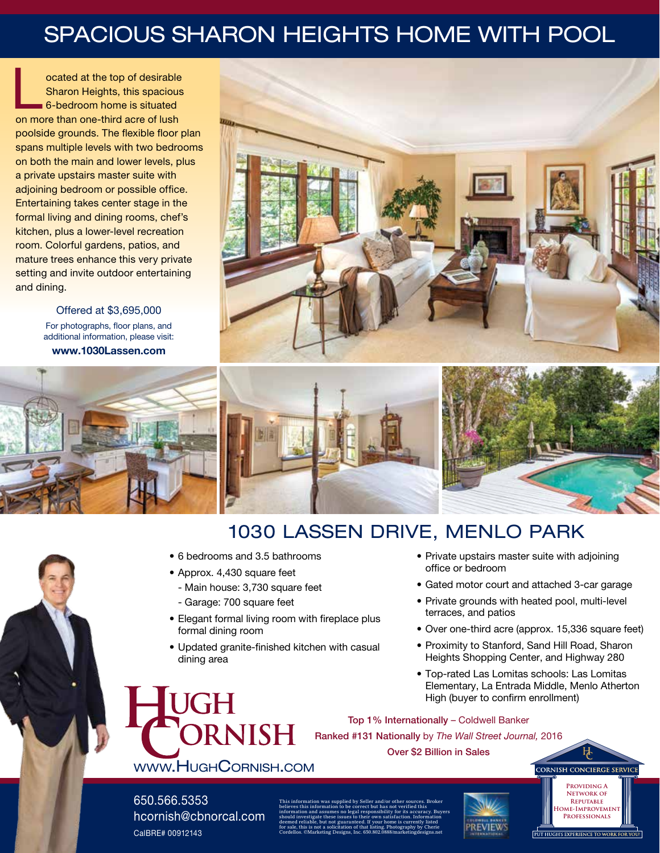# SPACIOUS SHARON HEIGHTS HOME WITH POOL

ocated at the top of desirable Sharon Heights, this spacious 6-bedroom home is situated on more than one-third acre of lush poolside grounds. The flexible floor plan spans multiple levels with two bedrooms on both the main and lower levels, plus a private upstairs master suite with adjoining bedroom or possible office. Entertaining takes center stage in the formal living and dining rooms, chef's kitchen, plus a lower-level recreation room. Colorful gardens, patios, and mature trees enhance this very private setting and invite outdoor entertaining and dining.

> Offered at \$3,695,000 For photographs, floor plans, and additional information, please visit: www.1030Lassen.com









## 1030 LASSEN DRIVE, MENLO PARK

- 6 bedrooms and 3.5 bathrooms
- Approx. 4,430 square feet
	- Main house: 3,730 square feet
	- Garage: 700 square feet
- Elegant formal living room with fireplace plus formal dining room
- Updated granite-finished kitchen with casual dining area
- Private upstairs master suite with adjoining office or bedroom
- Gated motor court and attached 3-car garage
- Private grounds with heated pool, multi-level terraces, and patios
- Over one-third acre (approx. 15,336 square feet)
- Proximity to Stanford, Sand Hill Road, Sharon Heights Shopping Center, and Highway 280
- Top-rated Las Lomitas schools: Las Lomitas Elementary, La Entrada Middle, Menlo Atherton High (buyer to confirm enrollment)

**Providing A Network of Reputable Home-Improvement Professionals**

PUT HUGH'S EXPERIENCE TO WORK FOR Y

**CORNISH CONCIERGE SERVICE** 

Top 1% Internationally – Coldwell Banker Ranked #131 Nationally by *The Wall Street Journal,* 2016

### www.HughCornish.com

**PRNISH** 

Over \$2 Billion in Sales

#### 650.566.5353 hcornish@cbnorcal.com CalBRE# 00912143

This information was supplied by Seller and/or other sources. Broker believes this information to be correct but has not verified this information and assumes no legal responsibility for its accuracy. Buyers should investigate these issues to their own satisfaction. Information deemed reliable, but not guaranteed. If your home is currently listed for sale, this is not a solicitation of that listing. Photography by Cherie Cordellos. ©Marketing Designs, Inc. 650.802.0888/marketingdesigns.net

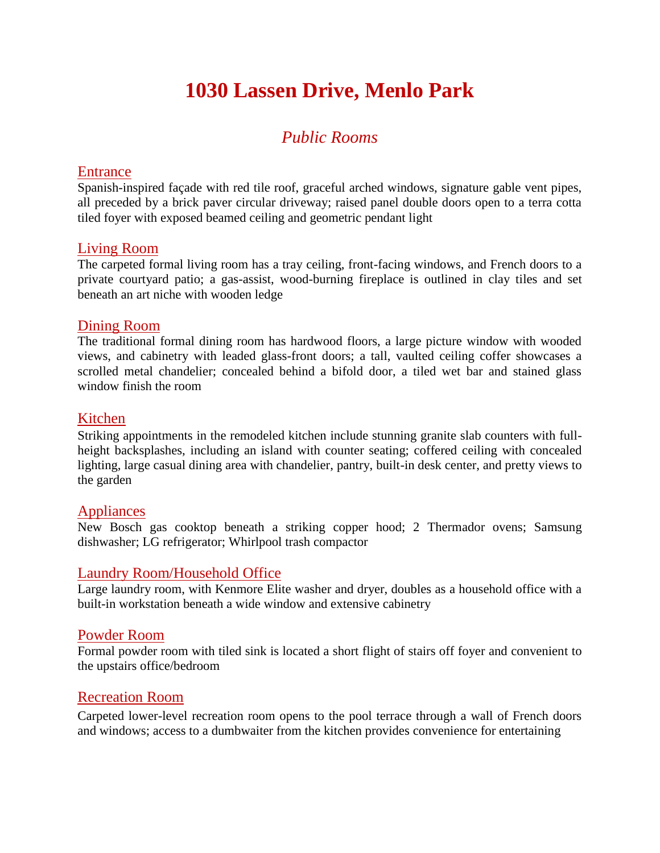## **1030 Lassen Drive, Menlo Park**

### *Public Rooms*

#### **Entrance**

Spanish-inspired façade with red tile roof, graceful arched windows, signature gable vent pipes, all preceded by a brick paver circular driveway; raised panel double doors open to a terra cotta tiled foyer with exposed beamed ceiling and geometric pendant light

#### Living Room

The carpeted formal living room has a tray ceiling, front-facing windows, and French doors to a private courtyard patio; a gas-assist, wood-burning fireplace is outlined in clay tiles and set beneath an art niche with wooden ledge

#### Dining Room

The traditional formal dining room has hardwood floors, a large picture window with wooded views, and cabinetry with leaded glass-front doors; a tall, vaulted ceiling coffer showcases a scrolled metal chandelier; concealed behind a bifold door, a tiled wet bar and stained glass window finish the room

#### Kitchen

Striking appointments in the remodeled kitchen include stunning granite slab counters with fullheight backsplashes, including an island with counter seating; coffered ceiling with concealed lighting, large casual dining area with chandelier, pantry, built-in desk center, and pretty views to the garden

#### Appliances

New Bosch gas cooktop beneath a striking copper hood; 2 Thermador ovens; Samsung dishwasher; LG refrigerator; Whirlpool trash compactor

#### Laundry Room/Household Office

Large laundry room, with Kenmore Elite washer and dryer, doubles as a household office with a built-in workstation beneath a wide window and extensive cabinetry

#### Powder Room

Formal powder room with tiled sink is located a short flight of stairs off foyer and convenient to the upstairs office/bedroom

#### Recreation Room

Carpeted lower-level recreation room opens to the pool terrace through a wall of French doors and windows; access to a dumbwaiter from the kitchen provides convenience for entertaining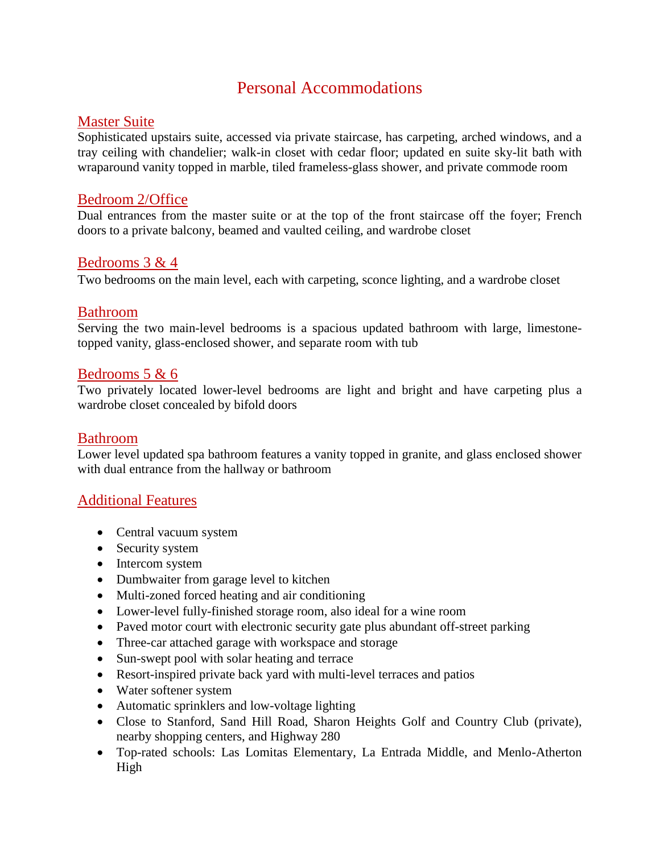### Personal Accommodations

#### Master Suite

Sophisticated upstairs suite, accessed via private staircase, has carpeting, arched windows, and a tray ceiling with chandelier; walk-in closet with cedar floor; updated en suite sky-lit bath with wraparound vanity topped in marble, tiled frameless-glass shower, and private commode room

#### Bedroom 2/Office

Dual entrances from the master suite or at the top of the front staircase off the foyer; French doors to a private balcony, beamed and vaulted ceiling, and wardrobe closet

#### Bedrooms 3 & 4

Two bedrooms on the main level, each with carpeting, sconce lighting, and a wardrobe closet

#### Bathroom

Serving the two main-level bedrooms is a spacious updated bathroom with large, limestonetopped vanity, glass-enclosed shower, and separate room with tub

#### Bedrooms 5 & 6

Two privately located lower-level bedrooms are light and bright and have carpeting plus a wardrobe closet concealed by bifold doors

#### Bathroom

Lower level updated spa bathroom features a vanity topped in granite, and glass enclosed shower with dual entrance from the hallway or bathroom

#### Additional Features

- Central vacuum system
- Security system
- Intercom system
- Dumbwaiter from garage level to kitchen
- Multi-zoned forced heating and air conditioning
- Lower-level fully-finished storage room, also ideal for a wine room
- Paved motor court with electronic security gate plus abundant off-street parking
- Three-car attached garage with workspace and storage
- Sun-swept pool with solar heating and terrace
- Resort-inspired private back yard with multi-level terraces and patios
- Water softener system
- Automatic sprinklers and low-voltage lighting
- Close to Stanford, Sand Hill Road, Sharon Heights Golf and Country Club (private), nearby shopping centers, and Highway 280
- Top-rated schools: Las Lomitas Elementary, La Entrada Middle, and Menlo-Atherton High